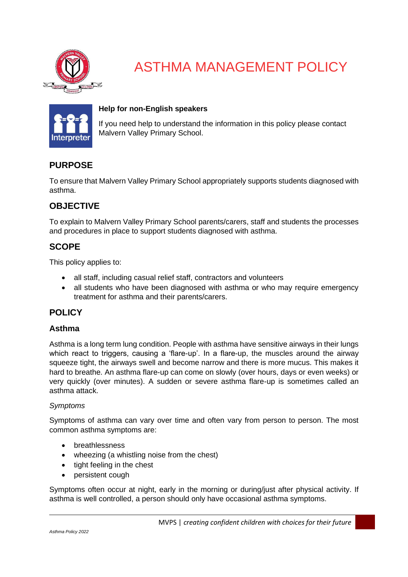

# ASTHMA MANAGEMENT POLICY



## **Help for non-English speakers**

If you need help to understand the information in this policy please contact Malvern Valley Primary School.

# **PURPOSE**

To ensure that Malvern Valley Primary School appropriately supports students diagnosed with asthma.

# **OBJECTIVE**

To explain to Malvern Valley Primary School parents/carers, staff and students the processes and procedures in place to support students diagnosed with asthma.

## **SCOPE**

This policy applies to:

- all staff, including casual relief staff, contractors and volunteers
- all students who have been diagnosed with asthma or who may require emergency treatment for asthma and their parents/carers.

## **POLICY**

## **Asthma**

Asthma is a long term lung condition. People with asthma have sensitive airways in their lungs which react to triggers, causing a 'flare-up'. In a flare-up, the muscles around the airway squeeze tight, the airways swell and become narrow and there is more mucus. This makes it hard to breathe. An asthma flare-up can come on slowly (over hours, days or even weeks) or very quickly (over minutes). A sudden or severe asthma flare-up is sometimes called an asthma attack.

#### *Symptoms*

Symptoms of asthma can vary over time and often vary from person to person. The most common asthma symptoms are:

- breathlessness
- wheezing (a whistling noise from the chest)
- tight feeling in the chest
- persistent cough

Symptoms often occur at night, early in the morning or during/just after physical activity. If asthma is well controlled, a person should only have occasional asthma symptoms.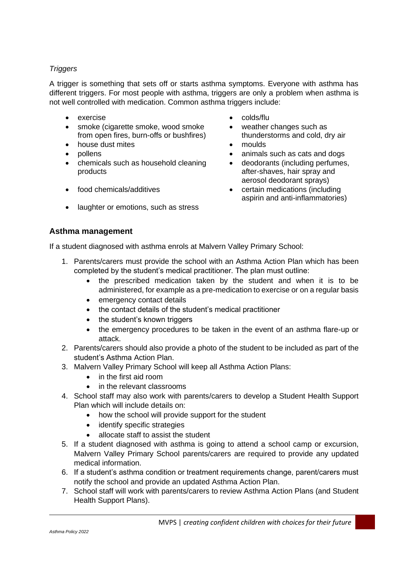## *Triggers*

A trigger is something that sets off or starts asthma symptoms. Everyone with asthma has different triggers. For most people with asthma, triggers are only a problem when asthma is not well controlled with medication. Common asthma triggers include:

- exercise colds/flu
- smoke (cigarette smoke, wood smoke from open fires, burn-offs or bushfires)
- house dust mites moulds
- 
- chemicals such as household cleaning products
- 
- laughter or emotions, such as stress
- 
- weather changes such as thunderstorms and cold, dry air
- 
- pollens animals such as cats and dogs
	- deodorants (including perfumes, after-shaves, hair spray and aerosol deodorant sprays)
- food chemicals/additives certain medications (including aspirin and anti-inflammatories)

## **Asthma management**

If a student diagnosed with asthma enrols at Malvern Valley Primary School:

- 1. Parents/carers must provide the school with an Asthma Action Plan which has been completed by the student's medical practitioner. The plan must outline:
	- the prescribed medication taken by the student and when it is to be administered, for example as a pre-medication to exercise or on a regular basis
	- emergency contact details
	- the contact details of the student's medical practitioner
	- the student's known triggers
	- the emergency procedures to be taken in the event of an asthma flare-up or attack.
- 2. Parents/carers should also provide a photo of the student to be included as part of the student's Asthma Action Plan.
- 3. Malvern Valley Primary School will keep all Asthma Action Plans:
	- in the first aid room
	- in the relevant classrooms
- 4. School staff may also work with parents/carers to develop a Student Health Support Plan which will include details on:
	- how the school will provide support for the student
	- identify specific strategies
	- allocate staff to assist the student
- 5. If a student diagnosed with asthma is going to attend a school camp or excursion, Malvern Valley Primary School parents/carers are required to provide any updated medical information.
- 6. If a student's asthma condition or treatment requirements change, parent/carers must notify the school and provide an updated Asthma Action Plan.
- 7. School staff will work with parents/carers to review Asthma Action Plans (and Student Health Support Plans).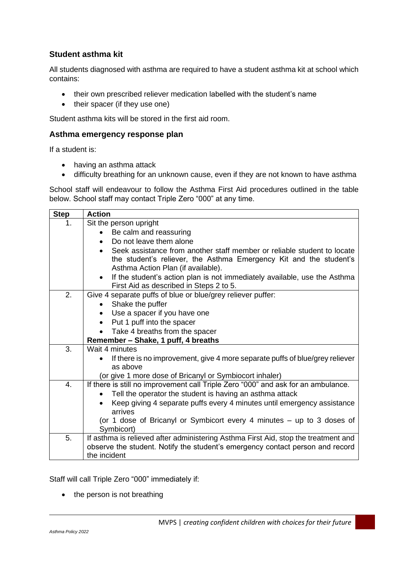## **Student asthma kit**

All students diagnosed with asthma are required to have a student asthma kit at school which contains:

- their own prescribed reliever medication labelled with the student's name
- their spacer (if they use one)

Student asthma kits will be stored in the first aid room.

#### **Asthma emergency response plan**

If a student is:

- having an asthma attack
- difficulty breathing for an unknown cause, even if they are not known to have asthma

School staff will endeavour to follow the Asthma First Aid procedures outlined in the table below. School staff may contact Triple Zero "000" at any time.

| <b>Step</b>      | <b>Action</b>                                                                                                                     |  |  |  |  |
|------------------|-----------------------------------------------------------------------------------------------------------------------------------|--|--|--|--|
| 1.               | Sit the person upright                                                                                                            |  |  |  |  |
|                  | Be calm and reassuring                                                                                                            |  |  |  |  |
|                  | Do not leave them alone                                                                                                           |  |  |  |  |
|                  | Seek assistance from another staff member or reliable student to locate<br>$\bullet$                                              |  |  |  |  |
|                  | the student's reliever, the Asthma Emergency Kit and the student's                                                                |  |  |  |  |
|                  | Asthma Action Plan (if available).                                                                                                |  |  |  |  |
|                  | If the student's action plan is not immediately available, use the Asthma<br>$\bullet$<br>First Aid as described in Steps 2 to 5. |  |  |  |  |
| 2.               | Give 4 separate puffs of blue or blue/grey reliever puffer:                                                                       |  |  |  |  |
|                  | Shake the puffer<br>$\bullet$                                                                                                     |  |  |  |  |
|                  | Use a spacer if you have one                                                                                                      |  |  |  |  |
|                  | Put 1 puff into the spacer                                                                                                        |  |  |  |  |
|                  | Take 4 breaths from the spacer                                                                                                    |  |  |  |  |
|                  | Remember - Shake, 1 puff, 4 breaths                                                                                               |  |  |  |  |
| 3.               | Wait 4 minutes                                                                                                                    |  |  |  |  |
|                  | If there is no improvement, give 4 more separate puffs of blue/grey reliever                                                      |  |  |  |  |
|                  | as above                                                                                                                          |  |  |  |  |
|                  | (or give 1 more dose of Bricanyl or Symbiocort inhaler)                                                                           |  |  |  |  |
| $\overline{4}$ . | If there is still no improvement call Triple Zero "000" and ask for an ambulance.                                                 |  |  |  |  |
|                  | Tell the operator the student is having an asthma attack                                                                          |  |  |  |  |
|                  | Keep giving 4 separate puffs every 4 minutes until emergency assistance<br>$\bullet$<br>arrives                                   |  |  |  |  |
|                  | (or 1 dose of Bricanyl or Symbicort every 4 minutes – up to 3 doses of                                                            |  |  |  |  |
|                  | Symbicort)                                                                                                                        |  |  |  |  |
| 5.               | If asthma is relieved after administering Asthma First Aid, stop the treatment and                                                |  |  |  |  |
|                  | observe the student. Notify the student's emergency contact person and record                                                     |  |  |  |  |
|                  | the incident                                                                                                                      |  |  |  |  |

Staff will call Triple Zero "000" immediately if:

• the person is not breathing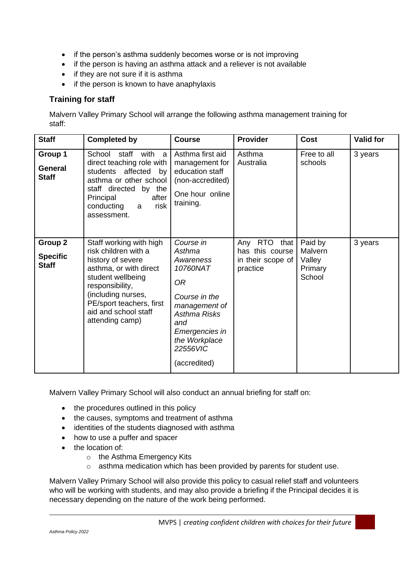- if the person's asthma suddenly becomes worse or is not improving
- if the person is having an asthma attack and a reliever is not available
- if they are not sure if it is asthma
- if the person is known to have anaphylaxis

## **Training for staff**

Malvern Valley Primary School will arrange the following asthma management training for staff:

| <b>Staff</b>                               | <b>Completed by</b>                                                                                                                                                                                                                 | <b>Course</b>                                                                                                                                                              | <b>Provider</b>                                                     | <b>Cost</b>                                       | <b>Valid for</b> |
|--------------------------------------------|-------------------------------------------------------------------------------------------------------------------------------------------------------------------------------------------------------------------------------------|----------------------------------------------------------------------------------------------------------------------------------------------------------------------------|---------------------------------------------------------------------|---------------------------------------------------|------------------|
| Group 1<br>General<br><b>Staff</b>         | with<br>School<br>staff<br>a,<br>direct teaching role with<br>students affected<br>by<br>asthma or other school<br>staff directed by the<br>Principal<br>after<br>risk<br>conducting<br>a<br>assessment.                            | Asthma first aid<br>management for<br>education staff<br>(non-accredited)<br>One hour online<br>training.                                                                  | Asthma<br>Australia                                                 | Free to all<br>schools                            | 3 years          |
| Group 2<br><b>Specific</b><br><b>Staff</b> | Staff working with high<br>risk children with a<br>history of severe<br>asthma, or with direct<br>student wellbeing<br>responsibility,<br>(including nurses,<br>PE/sport teachers, first<br>aid and school staff<br>attending camp) | Course in<br>Asthma<br>Awareness<br>10760NAT<br>0R<br>Course in the<br>management of<br>Asthma Risks<br>and<br>Emergencies in<br>the Workplace<br>22556VIC<br>(accredited) | Any RTO<br>that<br>has this course<br>in their scope of<br>practice | Paid by<br>Malvern<br>Valley<br>Primary<br>School | 3 years          |

Malvern Valley Primary School will also conduct an annual briefing for staff on:

- the procedures outlined in this policy
- the causes, symptoms and treatment of asthma
- identities of the students diagnosed with asthma
- how to use a puffer and spacer
- the location of:
	- o the Asthma Emergency Kits
	- o asthma medication which has been provided by parents for student use.

Malvern Valley Primary School will also provide this policy to casual relief staff and volunteers who will be working with students, and may also provide a briefing if the Principal decides it is necessary depending on the nature of the work being performed.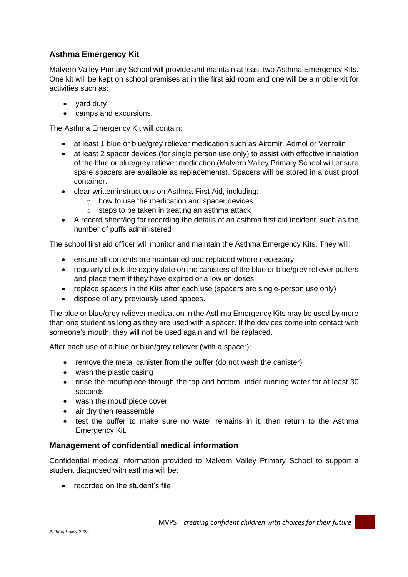# **Asthma Emergency Kit**

Malvern Valley Primary School will provide and maintain at least two Asthma Emergency Kits. One kit will be kept on school premises at in the first aid room and one will be a mobile kit for activities such as:

- yard duty
- camps and excursions.

The Asthma Emergency Kit will contain:

- at least 1 blue or blue/grey reliever medication such as Airomir, Admol or Ventolin
- at least 2 spacer devices (for single person use only) to assist with effective inhalation of the blue or blue/grey reliever medication (Malvern Valley Primary School will ensure spare spacers are available as replacements). Spacers will be stored in a dust proof container.
- clear written instructions on Asthma First Aid, including:
	- o how to use the medication and spacer devices
	- o steps to be taken in treating an asthma attack
- A record sheet/log for recording the details of an asthma first aid incident, such as the number of puffs administered

The school first aid officer will monitor and maintain the Asthma Emergency Kits. They will:

- ensure all contents are maintained and replaced where necessary
- regularly check the expiry date on the canisters of the blue or blue/grey reliever puffers and place them if they have expired or a low on doses
- replace spacers in the Kits after each use (spacers are single-person use only)
- dispose of any previously used spaces.

The blue or blue/grey reliever medication in the Asthma Emergency Kits may be used by more than one student as long as they are used with a spacer. If the devices come into contact with someone's mouth, they will not be used again and will be replaced.

After each use of a blue or blue/grey reliever (with a spacer):

- remove the metal canister from the puffer (do not wash the canister)
- wash the plastic casing
- rinse the mouthpiece through the top and bottom under running water for at least 30 seconds
- wash the mouthpiece cover
- air dry then reassemble
- test the puffer to make sure no water remains in it, then return to the Asthma Emergency Kit.

## **Management of confidential medical information**

Confidential medical information provided to Malvern Valley Primary School to support a student diagnosed with asthma will be:

• recorded on the student's file